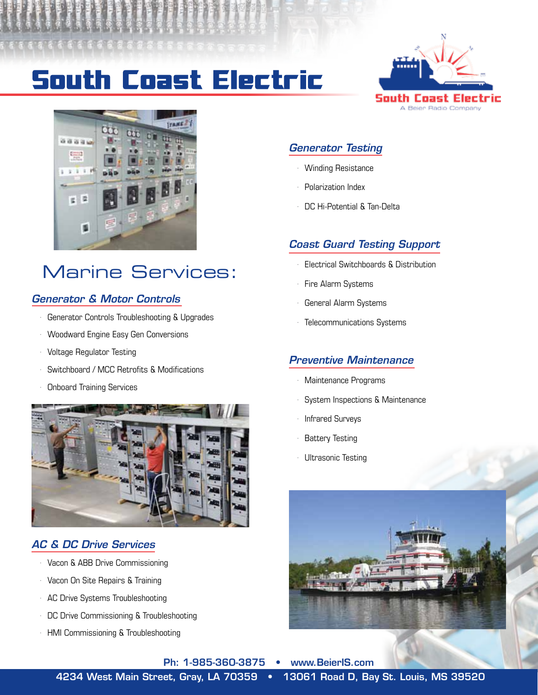# **South Coast Electric**





## Marine Services:

### *Generator & Motor Controls*

- Generator Controls Troubleshooting & Upgrades
- · Woodward Engine Easy Gen Conversions
- · Voltage Regulator Testing
- Switchboard / MCC Retrofits & Modifications
- · Onboard Training Services



### *AC & DC Drive Services*

- · Vacon & ABB Drive Commissioning
- · Vacon On Site Repairs & Training
- · AC Drive Systems Troubleshooting
- · DC Drive Commissioning & Troubleshooting
- · HMI Commissioning & Troubleshooting

### *Generator Testing*

- · Winding Resistance
- · Polarization Index
- · DC Hi-Potential & Tan-Delta

### *Coast Guard Testing Support*

- · Electrical Switchboards & Distribution
- Fire Alarm Systems
- General Alarm Systems
- Telecommunications Systems

#### *Preventive Maintenance*

- · Maintenance Programs
- System Inspections & Maintenance
- · Infrared Surveys
- **Battery Testing**
- Ultrasonic Testing



Ph: 1-985-360-3875 • www.BeierIS.com